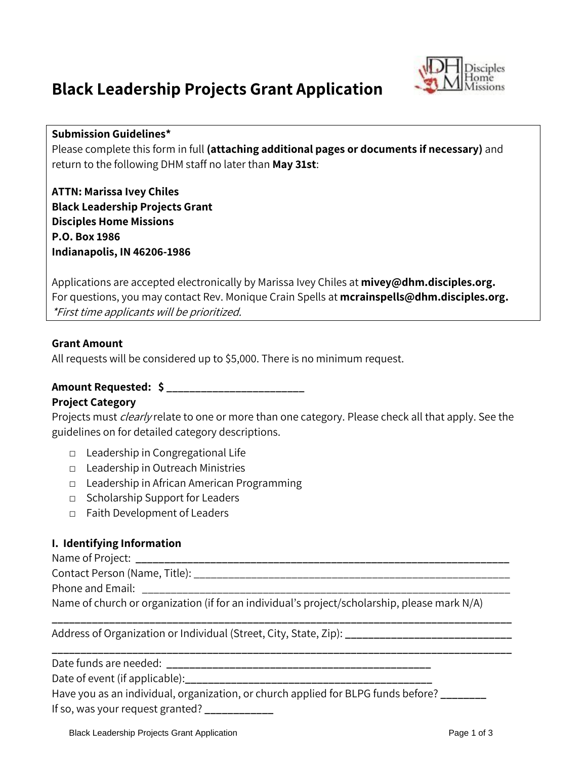# **Black Leadership Projects Grant Application**



#### **Submission Guidelines\***

Please complete this form in full **(attaching additional pages or documents if necessary)** and return to the following DHM staff no later than **May 31st**:

**ATTN: Marissa Ivey Chiles Black Leadership Projects Grant Disciples Home Missions P.O. Box 1986 Indianapolis, IN 46206-1986**

Applications are accepted electronically by Marissa Ivey Chiles at **[mivey@dhm.disciples.org.](mailto:mivey@dhm.disciples.org)** For questions, you may contact Rev. Monique Crain Spells at **[mcrainspells@dhm.disciples.org.](mailto:mcrainspells@dhm.disciples.org)** \*First time applicants will be prioritized.

#### **Grant Amount**

All requests will be considered up to \$5,000. There is no minimum request.

# **Amount Requested: \$ \_\_\_\_\_\_\_\_\_\_\_\_\_\_\_\_\_\_\_\_\_\_\_\_**

## **Project Category**

Projects must *clearly* relate to one or more than one category. Please check all that apply. See the guidelines on for detailed category descriptions.

- □ Leadership in Congregational Life
- □ Leadership in Outreach Ministries
- □ Leadership in African American Programming
- □ Scholarship Support for Leaders
- □ Faith Development of Leaders

## **I. Identifying Information**

Name of Project: **\_\_\_\_\_\_\_\_\_\_\_\_\_\_\_\_\_\_\_\_\_\_\_\_\_\_\_\_\_\_\_\_\_\_\_\_\_\_\_\_\_\_\_\_\_\_\_\_\_\_\_\_\_\_\_\_\_\_\_\_\_\_\_\_\_**

Contact Person (Name, Title): **Example 20** 

Phone and Email:

Name of church or organization (if for an individual's project/scholarship, please mark N/A)

**\_\_\_\_\_\_\_\_\_\_\_\_\_\_\_\_\_\_\_\_\_\_\_\_\_\_\_\_\_\_\_\_\_\_\_\_\_\_\_\_\_\_\_\_\_\_\_\_\_\_\_\_\_\_\_\_\_\_\_\_\_\_\_\_\_\_\_\_\_\_\_\_\_\_\_\_\_\_\_\_**

**\_\_\_\_\_\_\_\_\_\_\_\_\_\_\_\_\_\_\_\_\_\_\_\_\_\_\_\_\_\_\_\_\_\_\_\_\_\_\_\_\_\_\_\_\_\_\_\_\_\_\_\_\_\_\_\_\_\_\_\_\_\_\_\_\_\_\_\_\_\_\_\_\_\_\_\_\_\_\_\_**

Address of Organization or Individual (Street, City, State, Zip): **\_\_\_\_\_\_\_\_\_\_\_\_\_\_\_\_\_\_\_\_\_\_\_\_\_\_\_\_\_**

Date funds are needed: **\_\_\_\_\_\_\_\_\_\_\_\_\_\_\_\_\_\_\_\_\_\_\_\_\_\_\_\_\_\_\_\_\_\_\_\_\_\_\_\_\_\_\_\_\_\_**

Date of event (if applicable):

Have you as an individual, organization, or church applied for BLPG funds before? **\_\_\_\_\_\_\_\_** If so, was your request granted? **\_\_\_\_\_\_\_\_\_\_\_\_**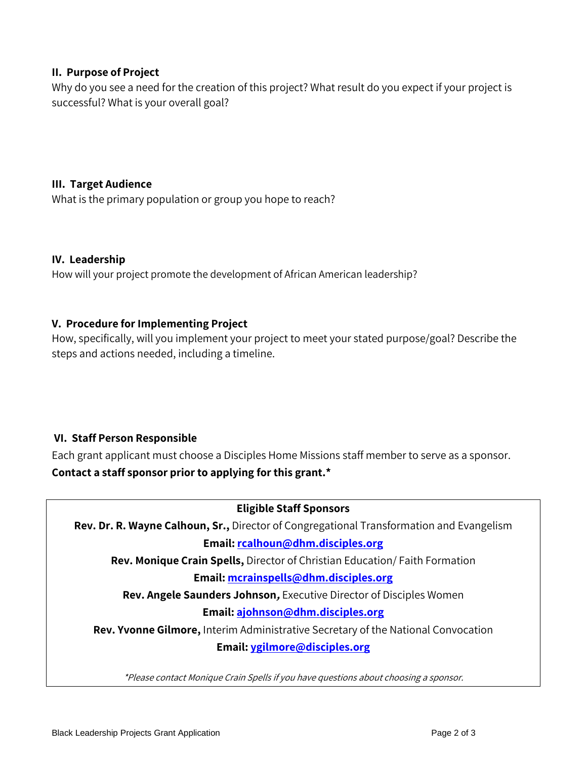## **II. Purpose of Project**

Why do you see a need for the creation of this project? What result do you expect if your project is successful? What is your overall goal?

## **III. Target Audience**

What is the primary population or group you hope to reach?

#### **IV. Leadership**

How will your project promote the development of African American leadership?

## **V. Procedure for Implementing Project**

How, specifically, will you implement your project to meet your stated purpose/goal? Describe the steps and actions needed, including a timeline.

# **VI. Staff Person Responsible**

Each grant applicant must choose a Disciples Home Missions staff member to serve as a sponsor. **Contact a staff sponsor prior to applying for this grant.\***

## **Eligible Staff Sponsors**

**Rev. Dr. R. Wayne Calhoun, Sr.,** Director of Congregational Transformation and Evangelism **Email[: rcalhoun@dhm.disciples.org](mailto:rcalhoun@dhm.disciples.org)**

**Rev. Monique Crain Spells,** Director of Christian Education/ Faith Formation

## **Email[: mcrainspells@dhm.disciples.org](mailto:mcrainspells@dhm.disciples.org)**

**Rev. Angele Saunders Johnson,** Executive Director of Disciples Women

# **Email: [ajohnson@dhm.disciples.org](mailto:ajohnson@dhm.disciples.org)**

**Rev. Yvonne Gilmore,** Interim Administrative Secretary of the National Convocation

## **Email: [ygilmore@disciples.org](mailto:ygilmore@disciples.org)**

\*Please contact Monique Crain Spells if you have questions about choosing a sponsor.